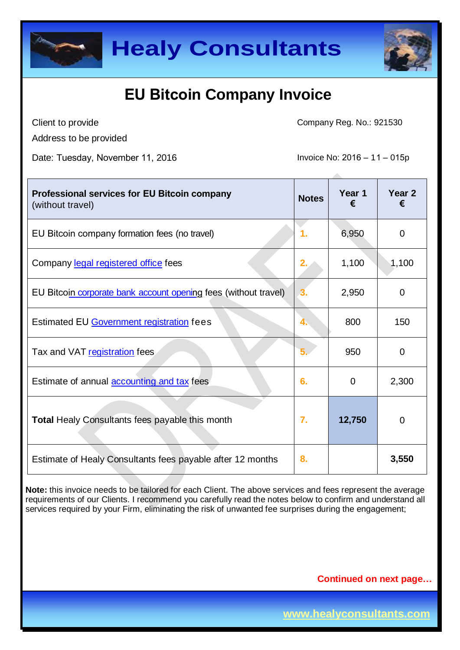



Client to provide

Address to be provided

Date: Tuesday, November 11, 2016 **Invoice No: 2016 – 11** – 015p

Company Reg. No.: 921530

| <b>Professional services for EU Bitcoin company</b><br>(without travel) | <b>Notes</b> | Year 1<br>€ | Year <sub>2</sub><br>€ |
|-------------------------------------------------------------------------|--------------|-------------|------------------------|
| EU Bitcoin company formation fees (no travel)                           | 1.           | 6,950       | 0                      |
| Company legal registered office fees                                    | 2.           | 1,100       | 1,100                  |
| EU Bitcoin corporate bank account opening fees (without travel)         | 3.           | 2,950       | 0                      |
| Estimated EU Government registration fees                               | 4.           | 800         | 150                    |
| Tax and VAT registration fees                                           |              | 950         | 0                      |
| Estimate of annual <b>accounting and tax</b> fees                       | 6.           | 0           | 2,300                  |
| <b>Total Healy Consultants fees payable this month</b>                  | 7.           | 12,750      | 0                      |
| Estimate of Healy Consultants fees payable after 12 months              | 8.           |             | 3,550                  |

**Note:** this invoice needs to be tailored for each Client. The above services and fees represent the average requirements of our Clients. I recommend you carefully read the notes below to confirm and understand all services required by your Firm, eliminating the risk of unwanted fee surprises during the engagement;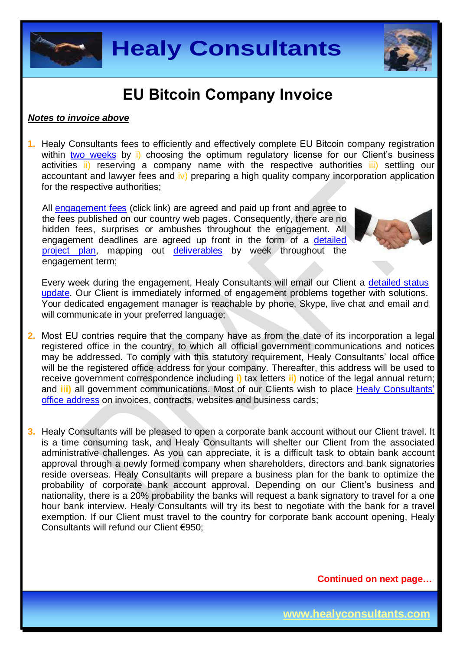



#### *Notes to invoice above*

**1.** Healy Consultants fees to efficiently and effectively complete EU Bitcoin company registration within [two weeks](http://www.healyconsultants.com/portugal-company-registration/fees-timelines/) by i) choosing the optimum regulatory license for our Client's business activities ii) reserving a company name with the [respective authorities](http://www.portugalglobal.pt/EN/SourceFromPortugal/Pages/SearchCompanies.aspx) iii) settling our accountant and lawyer fees and iv) preparing a high quality company incorporation application for the respective authorities;

All [engagement fees](http://www.healyconsultants.com/company-registration-fees/) (click link) are agreed and paid up front and agree to the fees published on our country web pages. Consequently, there are no hidden fees, surprises or ambushes throughout the engagement. All engagement deadlines are agreed up front in the form of a [detailed](http://www.healyconsultants.com/index-important-links/example-project-plan/)  [project plan,](http://www.healyconsultants.com/index-important-links/example-project-plan/) mapping out [deliverables](http://www.healyconsultants.com/deliverables-to-our-clients/) by week throughout the engagement term;



Every week during the engagement, Healy Consultants will email our Client a detailed status [update.](http://www.healyconsultants.com/index-important-links/weekly-engagement-status-email/) Our Client is immediately informed of engagement problems together with solutions. Your dedicated engagement manager is reachable by phone, Skype, live chat and email and will communicate in your preferred language;

- **2.** Most EU contries req[uire that the](http://www.dgpj.mj.pt/DGPJ/sections/leis-da-justica/livro-v-leis-sobre/pdf2215/dl-262-1986/downloadFile/file/DL_262_1986.pdf?nocache=1182251871.74) company have as from the date of its incorporation a legal registered office in the country, to which all official government communications and notices may be addressed. To comply with this statutory requirement, Healy Consultants' local office will be the registered office address for your company. Thereafter, this address will be used to receive government correspondence including **i)** tax letters **ii)** notice of the legal annual return; and **iii)** all government communications. Most of our Clients wish to place Healy Consultants' office address on invoices, contracts, websites and bus[iness cards;](http://www.healyconsultants.com/corporate-outsourcing-services/company-secretary-and-legal-registered-office/)
- **3.** Healy Consultants will be pleased to open a corporate bank account without our Client travel. It is a time consuming task, and Healy Consultants will shelter our Client from the associated administrative challenges. As you can appreciate, it is a difficult task to obtain bank account approval through a newly formed company when shareholders, directors and bank signatories reside overseas. Healy Consultants will prepare a business plan for the bank to optimize the probability of corporate bank account approval. Depending on our Client's business and nationality, there is a 20% probability the banks will request a bank signatory to travel for a one hour bank interview. Healy Consultants will try its best to negotiate with the bank for a travel exemption. If our Client must travel to the country for corporate bank account opening, Healy Consultants will refund our Client €950;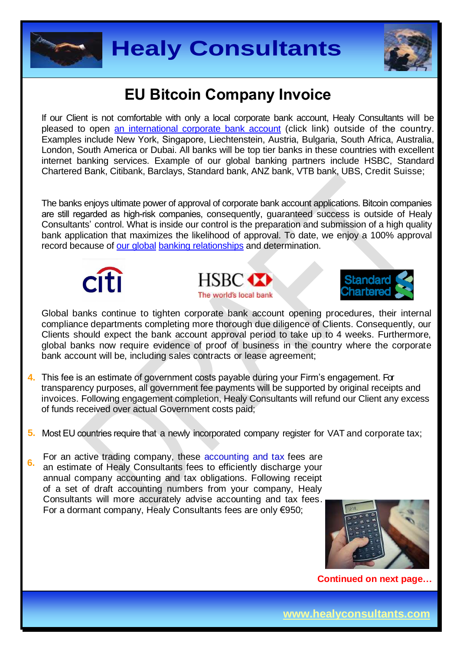



If our Client is not comfortable with only a local corporate bank account, Healy Consultants will be pleased to open an in[ternational corporate bank account \(click](http://www.healyconsultants.com/international-banking/) link) outside of the country. Examples include New York, Singapore, Liechtenstein, Austria, Bulgaria, South Africa, Australia, London, South America or Dubai. All banks will be top tier banks in these countries with excellent internet banking services. Example of our global banking partners include HSBC, Standard Chartered Bank, Citibank, Barclays, Standard bank, ANZ bank, VTB bank, UBS, Credit Suisse;

The banks enjoys ultimate power of approval of corporate bank account applications. Bitcoin companies are still regarded as high-risk companies, consequently, guaranteed success is outside of Healy Consultants' control. What is inside our control is the preparation and submission of a high quality bank application that maximizes the likelihood of approval. To date, we enjoy a 100[% approval](http://www.healyconsultants.com/international-banking/corporate-accounts/)  [record because of our](http://www.healyconsultants.com/international-banking/corporate-accounts/) global banking relationships and determination.







Global banks continue to tighten corporate bank account opening procedures, their internal compliance departments completing more thorough due diligence of Clients. Consequently, our Clients should expect the bank account approval period to take up to 4 weeks. Furthermore, global banks now require evidence of proof of business in the country where the corporate bank account will be, including sales contracts or lease agreement;

- **4.** This fee is an estimate of government costs payable during your Firm's engagement. For transparency purposes, all government fee payments will be supported by original receipts and invoices. Following engagement completion, Healy Consultants will refund our Client any excess [of funds received over actual Gover](http://www.irn.mj.pt/sections/empresas)nment costs paid;
- **5.** Most EU countries require that a newly incorporated company register for VAT and corporate tax;

**6.** For an active trading company, these accounting and tax fees are an estimate of Healy Consultants fees to efficiently discharge your annual company accounting and tax obligations. Following receipt of a set of draft accoun[ting numbers from your c](http://info.portaldasfinancas.gov.pt/pt/docs/Conteudos_1pagina/NEWS_Portuguese_Tax_System.htm)ompany, Healy Consultants will more accurately advise accounting and tax fees. For a dormant company, Healy Consultants fees are only €950;

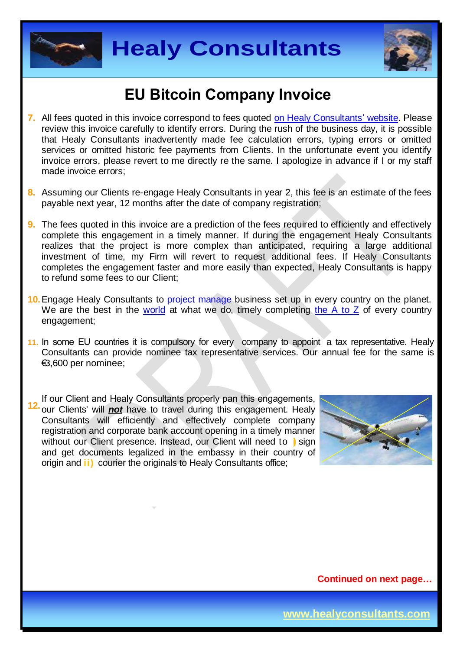



- **7.** All fees quoted in this invoice correspond to fees quoted [on Healy Consultants' website.](http://www.healyconsultants.com/company-registration-fees/) Please review this invoice carefully to identify errors. During the rush of the business day, it is possible that Healy Consultants inadvertently made fee calculation errors, typing errors or omitted services or omitted historic fee payments from Clients. In the unfortunate event you identify invoice errors, please revert to me directly re the same. I apologize in advance if I or my staff made invoice errors;
- **8.** Assuming our Clients re-engage Healy Consultants in year 2, this fee is an estimate of the fees payable next year, 12 months after the date of company registration;
- **9.** The fees quoted in this invoice are a prediction of the fees required to efficiently and effectively complete this engagement in a timely manner. If during the engagement Healy Consultants realizes that the project is more complex than anticipated, requiring a large additional investment of time, my Firm will revert to request additional fees. If Healy Consultants completes the engagement faster and more easily than expected, Healy Consultants is happy to refund some fees to our Client;
- **10.** Engage Healy Consultants to [project manage](http://www.healyconsultants.com/project-manage-engagements/) business set up in every country on the planet. We are the best in the [world](http://www.healyconsultants.com/best-in-the-world/) at what we do, timely completing the  $A$  to  $Z$  of every country engagement;
- **11.** In some EU countries it is compulsory for every company to appoint a tax representative. Healy Consultants can provide nominee tax representative services. Our annual fee for the same is €3,600 per nominee;

**12.**If our Client and Healy Consultants properly pan this engagements, our Clients' will *not* have to travel during this engagement. Healy Consultants will efficiently and effectively complete company registration and corporate bank account opening in a timely manner without our Client presence. Instead, our Client will need to **i)** sign and get documents legalized in the embassy in their country of origin and **ii)** courier the originals to Healy Consultants office;

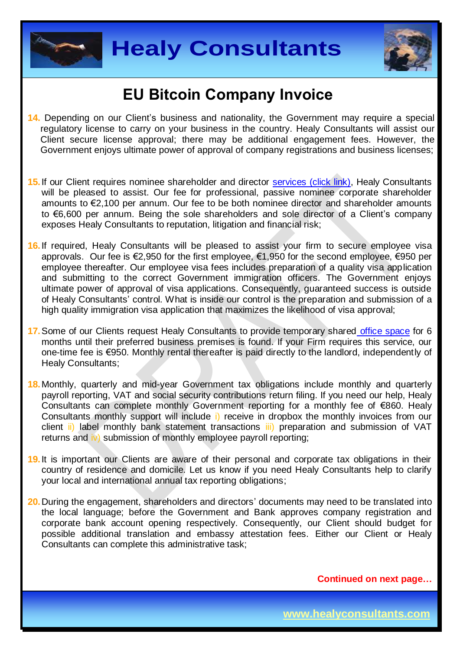



- **14.** Depending on our Client's business and nationality, the Government may require a special regulatory license to carry on your business in the country. Healy Consultants will assist our Client secure license approval; there may be additional engagement fees. However, the Government enjoys ultimate power of approval of company registrations and business licenses;
- 15. If our Client requires nominee shareholder and director [services \(click link\),](http://www.healyconsultants.com/corporate-outsourcing-services/nominee-shareholders-directors/) Healy Consultants will be pleased to assist. Our fee for professional, passive nominee corporate shareholder amounts to €2,100 per annum. Our fee to be both nominee director and shareholder amounts to €6,600 per annum. Being the sole shareholders and sole director of a Client's company exposes Healy Consultants to reputation, litigation and financial risk;
- **16.** If required, Healy Consultants will be pleased to assist your firm to secure employee visa approvals. Our fee is €2,950 for the first employee, €1,950 for the second employee, €950 per employee thereafter. Our employee visa fees includes preparation of a quality visa application and submitting to the correct Government immigration officers. The Government enjoys ultimate power of approval of visa applications. Consequently, guaranteed success is outside of Healy Consultants' control. What is inside our control is the preparation and submission of a high quality immigration visa application that maximizes the likelihood of visa approval;
- **17.**Some of our Clients request Healy Consultants to provide temporary share[d office space](http://www.healyconsultants.com/virtual-office/) for 6 months until their preferred business premises is found. If your Firm requires this service, our one-time fee is €950. Monthly rental thereafter is paid directly to the landlord, independently of Healy Consultants;
- **18.**Monthly, quarterly and mid-year Government tax obligations include monthly and quarterly payroll reporting, VAT and social security contributions return filing. If you need our help, Healy Consultants can complete monthly Government reporting for a monthly fee of €860. Healy Consultants monthly support will include i) receive in dropbox the monthly invoices from our client ii) label monthly bank statement transactions iii) preparation and submission of VAT returns and iv) submission of monthly employee payroll reporting;
- **19.**It is important our Clients are aware of their personal and corporate tax obligations in their country of residence and domicile. Let us know if you need Healy Consultants help to clarify your local and international annual tax reporting obligations;
- **20.**During the engagement, shareholders and directors' documents may need to be translated into the local language; before the Government and Bank approves company registration and corporate bank account opening respectively. Consequently, our Client should budget for possible additional translation and embassy attestation fees. Either our Client or Healy Consultants can complete this administrative task;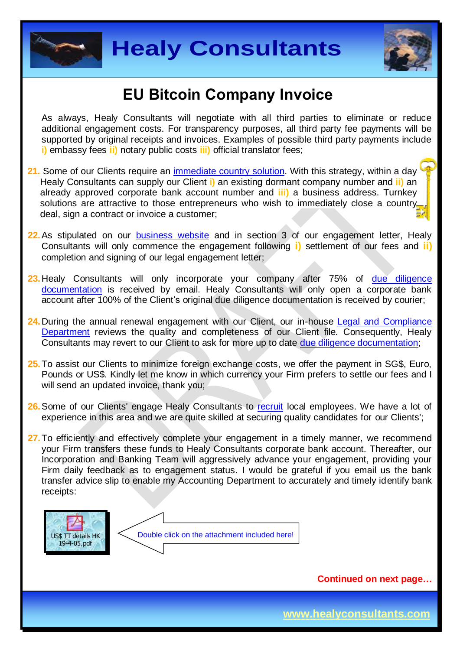



As always, Healy Consultants will negotiate with all third parties to eliminate or reduce additional engagement costs. For transparency purposes, all third party fee payments will be supported by original receipts and invoices. Examples of possible third party payments include **i)** embassy fees **ii)** notary public costs **iii)** official translator fees;

- **21.** Some of our Clients require a[n immediate country solution](http://www.healyconsultants.com/turnkey-solutions/). With this strategy, within a day Healy Consultants can supply our Client **i)** an existing dormant company number and **ii)** an already approved corporate bank account number and **iii)** a business address. Turnkey solutions are attractive to those entrepreneurs who wish to immediately close a country deal, sign a contract or invoice a customer;
- **22.**As stipulated on our [business website](http://www.healyconsultants.com/) and in section 3 of our engagement letter, Healy Consultants will only commence the engagement following **i)** settlement of our fees and **ii)** completion and signing of our legal engagement letter;
- **23.**Healy Consultants will only incorporate your company after 75% of [due diligence](http://www.healyconsultants.com/due-diligence/) [documentation](http://www.healyconsultants.com/due-diligence/) is received by email. Healy Consultants will only open a corporate bank account after 100% of the Client's original due diligence documentation is received by courier;
- 24. During the annual renewal engagement with our Client, our in-house [Legal and Compliance](http://www.healyconsultants.com/about-us/key-personnel/cai-xin-profile/) [Department](http://www.healyconsultants.com/about-us/key-personnel/cai-xin-profile/) reviews the quality and completeness of our Client file. Consequently, Healy Consultants may revert to our Client to ask for more up to date [due diligence documentation;](http://www.healyconsultants.com/due-diligence/)
- **25.**To assist our Clients to minimize foreign exchange costs, we offer the payment in SG\$, Euro, Pounds or US\$. Kindly let me know in which currency your Firm prefers to settle our fees and I will send an updated invoice, thank you;
- **26.**Some of our Clients' engage Healy Consultants to [recruit](http://www.healyconsultants.com/corporate-outsourcing-services/how-we-help-our-clients-recruit-quality-employees/) local employees. We have a lot of experience in this area and we are quite skilled at securing quality candidates for our Clients';
- 27. To efficiently and effectively complete your engagement in a timely manner, we recommend your Firm transfers these funds to Healy Consultants corporate bank account. Thereafter, our Incorporation and Banking Team will aggressively advance your engagement, providing your Firm daily feedback as to engagement status. I would be grateful if you email us the bank transfer advice slip to enable my Accounting Department to accurately and timely identify bank receipts:



**Continued on next page…**

**www.healyconsultants.com**